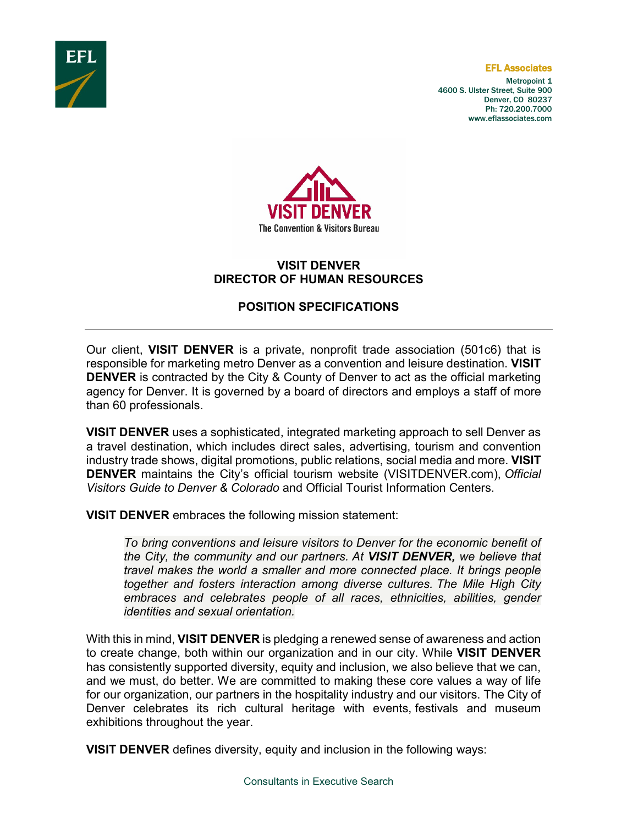

#### EFL Associates

Metropoint 1 4600 S. Ulster Street, Suite 900 Denver, CO 80237 Ph: 720.200.7000 www.eflassociates.com



# **VISIT DENVER DIRECTOR OF HUMAN RESOURCES**

# **POSITION SPECIFICATIONS**

Our client, **VISIT DENVER** is a private, nonprofit trade association (501c6) that is responsible for marketing metro Denver as a convention and leisure destination. **VISIT DENVER** is contracted by the City & County of Denver to act as the official marketing agency for Denver. It is governed by a board of directors and employs a staff of more than 60 professionals.

**VISIT DENVER** uses a sophisticated, integrated marketing approach to sell Denver as a travel destination, which includes direct sales, advertising, tourism and convention industry trade shows, digital promotions, public relations, social media and more. **VISIT DENVER** maintains the City's official tourism website (VISITDENVER.com), *Official Visitors Guide to Denver & Colorado* and Official Tourist Information Centers.

**VISIT DENVER** embraces the following mission statement:

*To bring conventions and leisure visitors to Denver for the economic benefit of the City, the community and our partners. At VISIT DENVER, we believe that travel makes the world a smaller and more connected place. It brings people together and fosters interaction among diverse cultures. The Mile High City embraces and celebrates people of all races, ethnicities, abilities, gender identities and sexual orientation.* 

With this in mind, **VISIT DENVER** is pledging a renewed sense of awareness and action to create change, both within our organization and in our city. While **VISIT DENVER**  has consistently supported diversity, equity and inclusion, we also believe that we can, and we must, do better. We are committed to making these core values a way of life for our organization, our partners in the hospitality industry and our visitors. The City of Denver celebrates its rich cultural heritage with events, festivals and museum exhibitions throughout the year.

**VISIT DENVER** defines diversity, equity and inclusion in the following ways: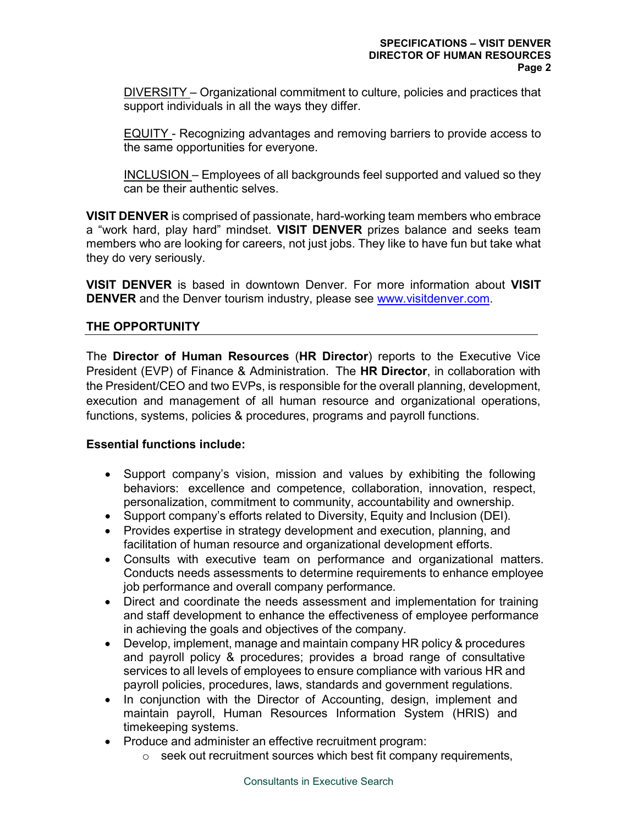DIVERSITY – Organizational commitment to culture, policies and practices that support individuals in all the ways they differ.

EQUITY - Recognizing advantages and removing barriers to provide access to the same opportunities for everyone.

INCLUSION – Employees of all backgrounds feel supported and valued so they can be their authentic selves.

**VISIT DENVER** is comprised of passionate, hard-working team members who embrace a "work hard, play hard" mindset. **VISIT DENVER** prizes balance and seeks team members who are looking for careers, not just jobs. They like to have fun but take what they do very seriously.

**VISIT DENVER** is based in downtown Denver. For more information about **VISIT DENVER** and the Denver tourism industry, please see [www.visitdenver.com.](http://www.visitdenver.com/)

# **THE OPPORTUNITY**

The **Director of Human Resources** (**HR Director**) reports to the Executive Vice President (EVP) of Finance & Administration. The **HR Director**, in collaboration with the President/CEO and two EVPs, is responsible for the overall planning, development, execution and management of all human resource and organizational operations, functions, systems, policies & procedures, programs and payroll functions.

### **Essential functions include:**

- Support company's vision, mission and values by exhibiting the following behaviors: excellence and competence, collaboration, innovation, respect, personalization, commitment to community, accountability and ownership.
- Support company's efforts related to Diversity, Equity and Inclusion (DEI).
- Provides expertise in strategy development and execution, planning, and facilitation of human resource and organizational development efforts.
- Consults with executive team on performance and organizational matters. Conducts needs assessments to determine requirements to enhance employee job performance and overall company performance.
- Direct and coordinate the needs assessment and implementation for training and staff development to enhance the effectiveness of employee performance in achieving the goals and objectives of the company.
- Develop, implement, manage and maintain company HR policy & procedures and payroll policy & procedures; provides a broad range of consultative services to all levels of employees to ensure compliance with various HR and payroll policies, procedures, laws, standards and government regulations.
- In conjunction with the Director of Accounting, design, implement and maintain payroll, Human Resources Information System (HRIS) and timekeeping systems.
- Produce and administer an effective recruitment program:
	- $\circ$  seek out recruitment sources which best fit company requirements,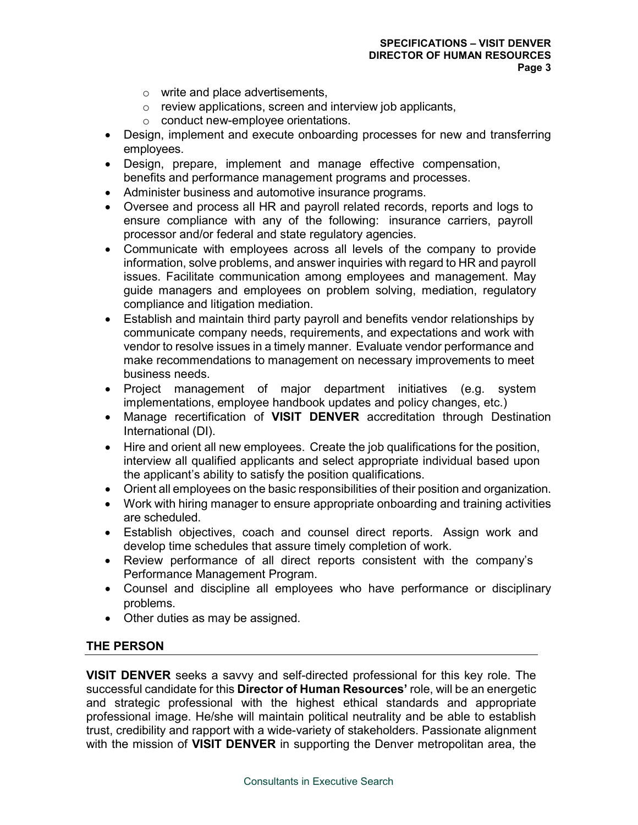- o write and place advertisements,
- o review applications, screen and interview job applicants,
- o conduct new-employee orientations.
- Design, implement and execute onboarding processes for new and transferring employees.
- Design, prepare, implement and manage effective compensation, benefits and performance management programs and processes.
- Administer business and automotive insurance programs.
- Oversee and process all HR and payroll related records, reports and logs to ensure compliance with any of the following: insurance carriers, payroll processor and/or federal and state regulatory agencies.
- Communicate with employees across all levels of the company to provide information, solve problems, and answer inquiries with regard to HR and payroll issues. Facilitate communication among employees and management. May guide managers and employees on problem solving, mediation, regulatory compliance and litigation mediation.
- Establish and maintain third party payroll and benefits vendor relationships by communicate company needs, requirements, and expectations and work with vendor to resolve issues in a timely manner. Evaluate vendor performance and make recommendations to management on necessary improvements to meet business needs.
- Project management of major department initiatives (e.g. system implementations, employee handbook updates and policy changes, etc.)
- Manage recertification of **VISIT DENVER** accreditation through Destination International (DI).
- Hire and orient all new employees. Create the job qualifications for the position, interview all qualified applicants and select appropriate individual based upon the applicant's ability to satisfy the position qualifications.
- Orient all employees on the basic responsibilities of their position and organization.
- Work with hiring manager to ensure appropriate onboarding and training activities are scheduled.
- Establish objectives, coach and counsel direct reports. Assign work and develop time schedules that assure timely completion of work.
- Review performance of all direct reports consistent with the company's Performance Management Program.
- Counsel and discipline all employees who have performance or disciplinary problems.
- Other duties as may be assigned.

### **THE PERSON**

**VISIT DENVER** seeks a savvy and self-directed professional for this key role. The successful candidate for this **Director of Human Resources'** role, will be an energetic and strategic professional with the highest ethical standards and appropriate professional image. He/she will maintain political neutrality and be able to establish trust, credibility and rapport with a wide-variety of stakeholders. Passionate alignment with the mission of **VISIT DENVER** in supporting the Denver metropolitan area, the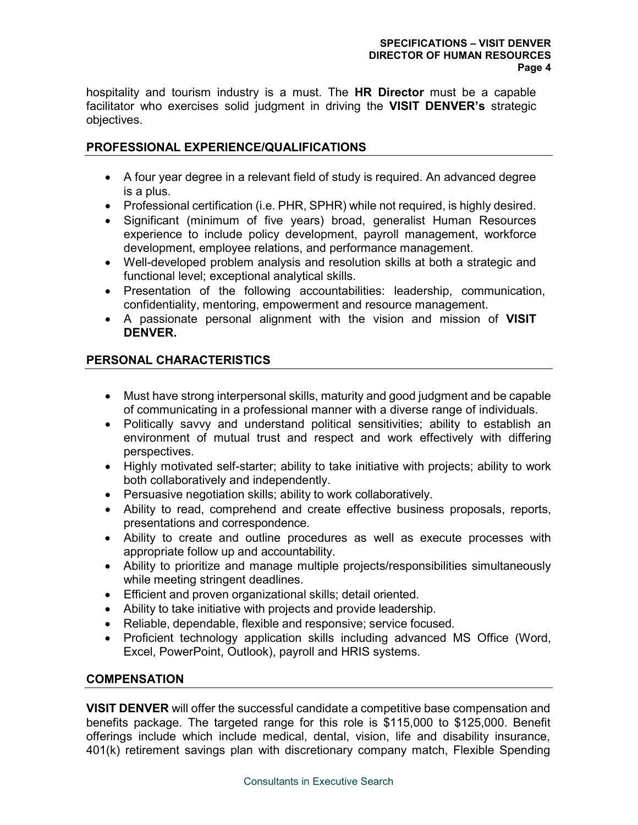hospitality and tourism industry is a must. The **HR Director** must be a capable facilitator who exercises solid judgment in driving the **VISIT DENVER's** strategic objectives.

# **PROFESSIONAL EXPERIENCE/QUALIFICATIONS**

- A four year degree in a relevant field of study is required. An advanced degree is a plus.
- Professional certification (i.e. PHR, SPHR) while not required, is highly desired.
- Significant (minimum of five years) broad, generalist Human Resources experience to include policy development, payroll management, workforce development, employee relations, and performance management.
- Well-developed problem analysis and resolution skills at both a strategic and functional level; exceptional analytical skills.
- Presentation of the following accountabilities: leadership, communication, confidentiality, mentoring, empowerment and resource management.
- A passionate personal alignment with the vision and mission of **VISIT DENVER.**

### **PERSONAL CHARACTERISTICS**

- Must have strong interpersonal skills, maturity and good judgment and be capable of communicating in a professional manner with a diverse range of individuals.
- Politically savvy and understand political sensitivities; ability to establish an environment of mutual trust and respect and work effectively with differing perspectives.
- Highly motivated self-starter; ability to take initiative with projects; ability to work both collaboratively and independently.
- Persuasive negotiation skills; ability to work collaboratively.
- Ability to read, comprehend and create effective business proposals, reports, presentations and correspondence.
- Ability to create and outline procedures as well as execute processes with appropriate follow up and accountability.
- Ability to prioritize and manage multiple projects/responsibilities simultaneously while meeting stringent deadlines.
- Efficient and proven organizational skills; detail oriented.
- Ability to take initiative with projects and provide leadership.
- Reliable, dependable, flexible and responsive; service focused.
- Proficient technology application skills including advanced MS Office (Word, Excel, PowerPoint, Outlook), payroll and HRIS systems.

### **COMPENSATION**

**VISIT DENVER** will offer the successful candidate a competitive base compensation and benefits package. The targeted range for this role is \$115,000 to \$125,000. Benefit offerings include which include medical, dental, vision, life and disability insurance, 401(k) retirement savings plan with discretionary company match, Flexible Spending